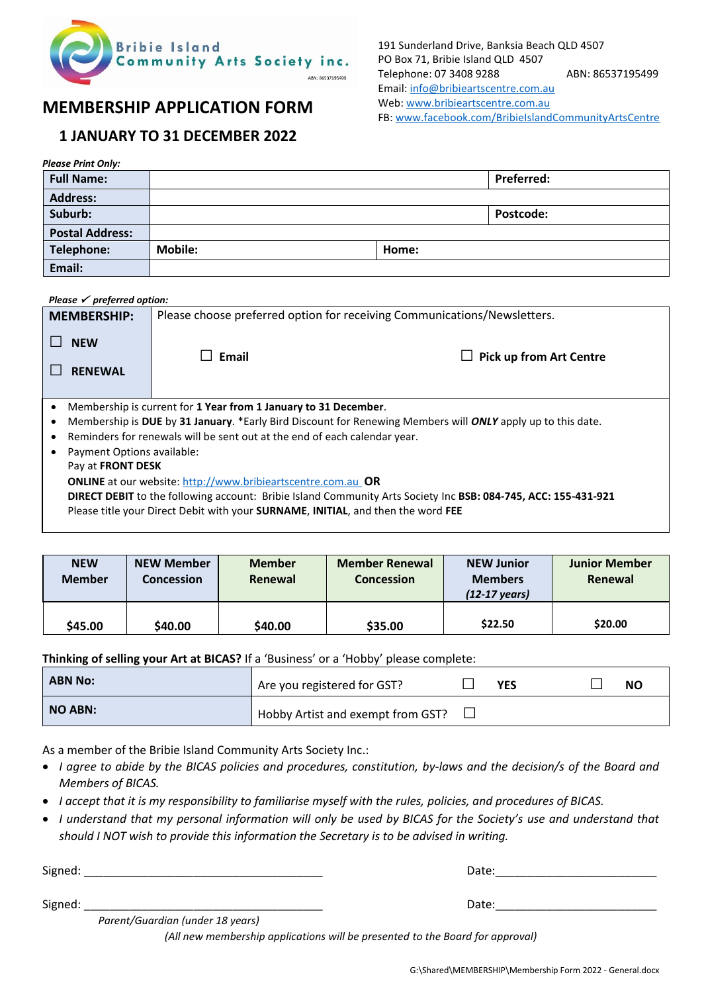

191 Sunderland Drive, Banksia Beach QLD 4507 PO Box 71, Bribie Island QLD 4507 Telephone: 07 3408 9288 ABN: 86537195499 Email: [info@bribieartscentre.com.au](mailto:info@bribieartscentre.com.au) Web[: www.bribieartscentre.com.au](http://www.bribieartscentre.com.au/)

## **MEMBERSHIP APPLICATION FORM**

## **1 JANUARY TO 31 DECEMBER 2022**

|  | FB: www.facebook.com/BribielslandCommunityArtsCentre |  |
|--|------------------------------------------------------|--|
|--|------------------------------------------------------|--|

| <b>Please Print Only:</b> |                |       |                   |  |
|---------------------------|----------------|-------|-------------------|--|
| <b>Full Name:</b>         |                |       | <b>Preferred:</b> |  |
| <b>Address:</b>           |                |       |                   |  |
| Suburb:                   |                |       | <b>Postcode:</b>  |  |
| <b>Postal Address:</b>    |                |       |                   |  |
| Telephone:                | <b>Mobile:</b> | Home: |                   |  |
| Email:                    |                |       |                   |  |

## *Please* ✓ *preferred option:*

| <b>MEMBERSHIP:</b>                                                                                             | Please choose preferred option for receiving Communications/Newsletters. |                                |  |  |  |  |  |
|----------------------------------------------------------------------------------------------------------------|--------------------------------------------------------------------------|--------------------------------|--|--|--|--|--|
| <b>NEW</b><br><b>RENEWAL</b>                                                                                   | Email<br>$\Box$                                                          | <b>Pick up from Art Centre</b> |  |  |  |  |  |
| Membership is current for 1 Year from 1 January to 31 December.                                                |                                                                          |                                |  |  |  |  |  |
| Membership is DUE by 31 January. *Early Bird Discount for Renewing Members will ONLY apply up to this date.    |                                                                          |                                |  |  |  |  |  |
| Reminders for renewals will be sent out at the end of each calendar year.                                      |                                                                          |                                |  |  |  |  |  |
| Payment Options available:                                                                                     |                                                                          |                                |  |  |  |  |  |
| Pay at <b>FRONT DESK</b>                                                                                       |                                                                          |                                |  |  |  |  |  |
| <b>ONLINE</b> at our website: http://www.bribieartscentre.com.au OR                                            |                                                                          |                                |  |  |  |  |  |
| DIRECT DEBIT to the following account: Bribie Island Community Arts Society Inc BSB: 084-745, ACC: 155-431-921 |                                                                          |                                |  |  |  |  |  |
| Please title your Direct Debit with your <b>SURNAME, INITIAL</b> , and then the word FEE                       |                                                                          |                                |  |  |  |  |  |

| <b>NEW</b><br><b>Member</b> | NEW Member<br><b>Concession</b> | <b>Member</b><br>Renewal | <b>Member Renewal</b><br><b>Concession</b> | <b>NEW Junior</b><br><b>Members</b><br>$(12-17 \text{ years})$ | <b>Junior Member</b><br>Renewal |
|-----------------------------|---------------------------------|--------------------------|--------------------------------------------|----------------------------------------------------------------|---------------------------------|
| \$45.00                     | \$40.00                         | \$40.00                  | \$35.00                                    | \$22.50                                                        | \$20.00                         |

## **Thinking of selling your Art at BICAS?** If a 'Business' or a 'Hobby' please complete:

| <b>ABN No:</b> | <sup>1</sup> Are you registered for GST? | <b>YES</b> |  | <b>NC</b> |
|----------------|------------------------------------------|------------|--|-----------|
| <b>NO ABN:</b> | Hobby Artist and exempt from GST?        |            |  |           |

As a member of the Bribie Island Community Arts Society Inc.:

- *I agree to abide by the BICAS policies and procedures, constitution, by-laws and the decision/s of the Board and Members of BICAS.*
- *I accept that it is my responsibility to familiarise myself with the rules, policies, and procedures of BICAS.*
- *I understand that my personal information will only be used by BICAS for the Society's use and understand that should I NOT wish to provide this information the Secretary is to be advised in writing.*

Signed: \_\_\_\_\_\_\_\_\_\_\_\_\_\_\_\_\_\_\_\_\_\_\_\_\_\_\_\_\_\_\_\_\_\_\_\_\_ Date:\_\_\_\_\_\_\_\_\_\_\_\_\_\_\_\_\_\_\_\_\_\_\_\_\_

Signed: \_\_\_\_\_\_\_\_\_\_\_\_\_\_\_\_\_\_\_\_\_\_\_\_\_\_\_\_\_\_\_\_\_\_\_\_\_ Date:\_\_\_\_\_\_\_\_\_\_\_\_\_\_\_\_\_\_\_\_\_\_\_\_\_

 *Parent/Guardian (under 18 years)*

*(All new membership applications will be presented to the Board for approval)*